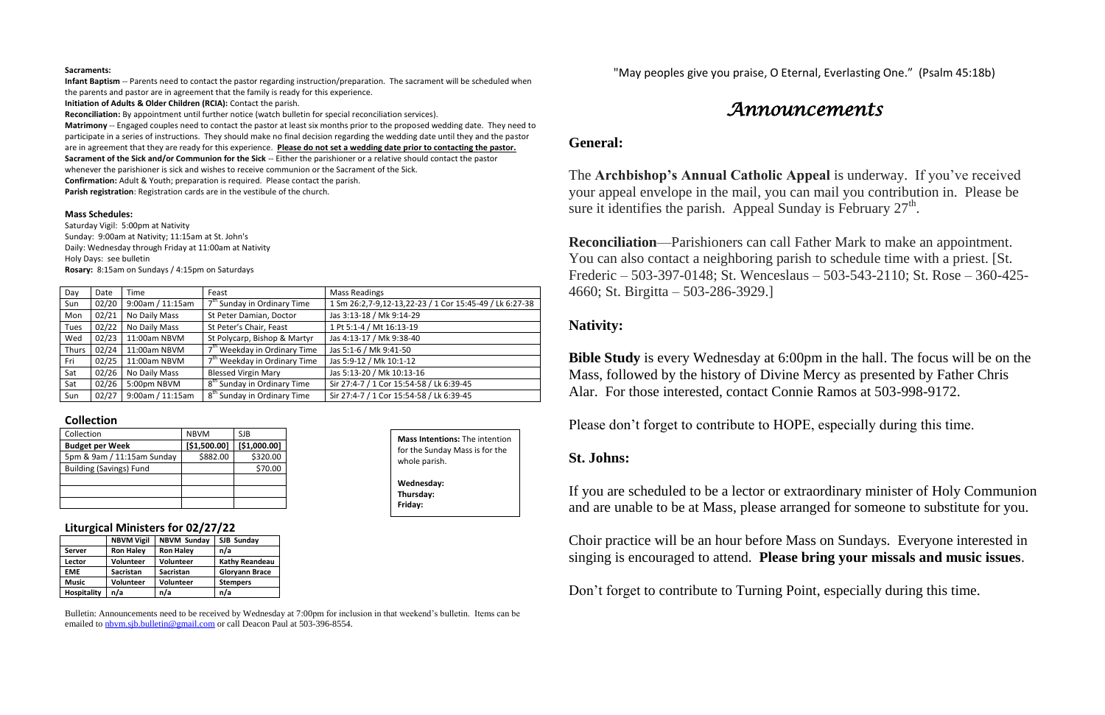#### **Sacraments:**

**Infant Baptism** -- Parents need to contact the pastor regarding instruction/preparation. The sacrament will be scheduled when the parents and pastor are in agreement that the family is ready for this experience.

**Initiation of Adults & Older Children (RCIA):** Contact the parish.

**Reconciliation:** By appointment until further notice (watch bulletin for special reconciliation services).

**Matrimony** -- Engaged couples need to contact the pastor at least six months prior to the proposed wedding date. They need to participate in a series of instructions. They should make no final decision regarding the wedding date until they and the pastor are in agreement that they are ready for this experience. **Please do not set a wedding date prior to contacting the pastor. Sacrament of the Sick and/or Communion for the Sick** -- Either the parishioner or a relative should contact the pastor

whenever the parishioner is sick and wishes to receive communion or the Sacrament of the Sick.

**Confirmation:** Adult & Youth; preparation is required. Please contact the parish.

**Parish registration**: Registration cards are in the vestibule of the church.

#### **Mass Schedules:**

Saturday Vigil: 5:00pm at Nativity Sunday: 9:00am at Nativity; 11:15am at St. John's Daily: Wednesday through Friday at 11:00am at Nativity Holy Days: see bulletin **Rosary:** 8:15am on Sundays / 4:15pm on Saturdays

The **Archbishop's Annual Catholic Appeal** is underway. If you've received your appeal envelope in the mail, you can mail you contribution in. Please be sure it identifies the parish. Appeal Sunday is February  $27<sup>th</sup>$ .

| Day          | Date  | Time             | Feast                                    | <b>Mass Readings</b>                                    |
|--------------|-------|------------------|------------------------------------------|---------------------------------------------------------|
| Sun          | 02/20 | 9:00am / 11:15am | 7 <sup>th</sup> Sunday in Ordinary Time  | 1 Sm 26:2,7-9,12-13,22-23 / 1 Cor 15:45-49 / Lk 6:27-38 |
| Mon          | 02/21 | No Daily Mass    | St Peter Damian, Doctor                  | Jas 3:13-18 / Mk 9:14-29                                |
| <b>Tues</b>  | 02/22 | No Daily Mass    | St Peter's Chair, Feast                  | 1 Pt 5:1-4 / Mt 16:13-19                                |
| Wed          | 02/23 | 11:00am NBVM     | St Polycarp, Bishop & Martyr             | Jas 4:13-17 / Mk 9:38-40                                |
| <b>Thurs</b> | 02/24 | 11:00am NBVM     | 7 <sup>th</sup> Weekday in Ordinary Time | Jas 5:1-6 / Mk 9:41-50                                  |
| Fri          | 02/25 | 11:00am NBVM     | 7 <sup>th</sup> Weekday in Ordinary Time | Jas 5:9-12 / Mk 10:1-12                                 |
| Sat          | 02/26 | No Daily Mass    | <b>Blessed Virgin Mary</b>               | Jas 5:13-20 / Mk 10:13-16                               |
| Sat          | 02/26 | 5:00pm NBVM      | 8 <sup>th</sup> Sunday in Ordinary Time  | Sir 27:4-7 / 1 Cor 15:54-58 / Lk 6:39-45                |
| Sun          | 02/27 | 9:00am / 11:15am | 8 <sup>th</sup> Sunday in Ordinary Time  | Sir 27:4-7 / 1 Cor 15:54-58 / Lk 6:39-45                |

## **Collection**

| Collection                     | <b>NBVM</b>  | SJB          |
|--------------------------------|--------------|--------------|
| <b>Budget per Week</b>         | [\$1,500.00] | [\$1,000.00] |
| 5pm & 9am / 11:15am Sunday     | \$882.00     | \$320.00     |
| <b>Building (Savings) Fund</b> |              | \$70.00      |
|                                |              |              |
|                                |              |              |
|                                |              |              |

## **Liturgical Ministers for 02/27/22**

|                    | <b>NBVM Vigil</b> | <b>NBVM Sunday</b> | SJB Sunday            |  |
|--------------------|-------------------|--------------------|-----------------------|--|
| <b>Server</b>      | <b>Ron Haley</b>  | <b>Ron Haley</b>   | n/a                   |  |
| Lector             | <b>Volunteer</b>  | Volunteer          | <b>Kathy Reandeau</b> |  |
| <b>EME</b>         | <b>Sacristan</b>  | <b>Sacristan</b>   | <b>Gloryann Brace</b> |  |
| <b>Music</b>       | <b>Volunteer</b>  | Volunteer          | <b>Stempers</b>       |  |
| <b>Hospitality</b> | n/a               | n/a                | n/a                   |  |

Bulletin: Announcements need to be received by Wednesday at 7:00pm for inclusion in that weekend's bulletin. Items can be emailed to [nbvm.sjb.bulletin@gmail.com](mailto:nbvm.sjb.bulletin@gmail.com) or call Deacon Paul at 503-396-8554.

"May peoples give you praise, O Eternal, Everlasting One." (Psalm 45:18b)

# *Announcements*

## **General:**

**Reconciliation**—Parishioners can call Father Mark to make an appointment. You can also contact a neighboring parish to schedule time with a priest. [St. Frederic – 503-397-0148; St. Wenceslaus – 503-543-2110; St. Rose – 360-425- 4660; St. Birgitta – 503-286-3929.]

# **Nativity:**

**Bible Study** is every Wednesday at 6:00pm in the hall. The focus will be on the Mass, followed by the history of Divine Mercy as presented by Father Chris Alar. For those interested, contact Connie Ramos at 503-998-9172.

Please don't forget to contribute to HOPE, especially during this time.

# **St. Johns:**

If you are scheduled to be a lector or extraordinary minister of Holy Communion and are unable to be at Mass, please arranged for someone to substitute for you.

Choir practice will be an hour before Mass on Sundays. Everyone interested in singing is encouraged to attend. **Please bring your missals and music issues**.

Don't forget to contribute to Turning Point, especially during this time.

**Mass Intentions:** The intention for the Sunday Mass is for the whole parish. **Wednesday: Thursday: Friday:**